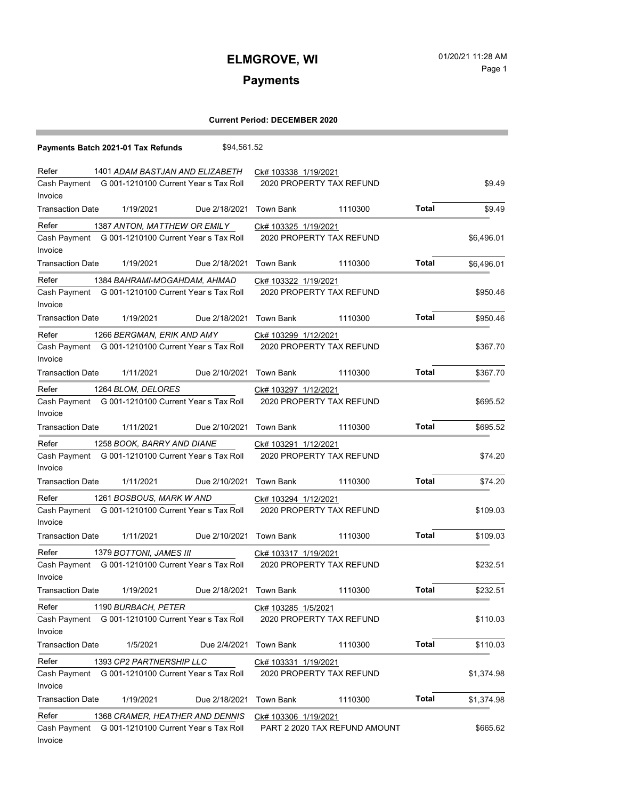and the state of the state of the

۰

# **Payments**

|                         | Payments Batch 2021-01 Tax Refunds                                                    | \$94,561.52             |                      |                               |              |            |
|-------------------------|---------------------------------------------------------------------------------------|-------------------------|----------------------|-------------------------------|--------------|------------|
| Refer<br>Invoice        | 1401 ADAM BASTJAN AND ELIZABETH<br>Cash Payment G 001-1210100 Current Year s Tax Roll |                         | Ck# 103338 1/19/2021 | 2020 PROPERTY TAX REFUND      |              | \$9.49     |
| <b>Transaction Date</b> | 1/19/2021                                                                             | Due 2/18/2021 Town Bank |                      | 1110300                       | Total        | \$9.49     |
| Refer                   | 1387 ANTON, MATTHEW OR EMILY                                                          |                         | Ck# 103325 1/19/2021 |                               |              |            |
| Invoice                 | Cash Payment G 001-1210100 Current Year s Tax Roll                                    |                         |                      | 2020 PROPERTY TAX REFUND      |              | \$6,496.01 |
| <b>Transaction Date</b> | 1/19/2021                                                                             | Due 2/18/2021           | Town Bank            | 1110300                       | Total        | \$6,496.01 |
| Refer                   | 1384 BAHRAMI-MOGAHDAM, AHMAD                                                          |                         | Ck# 103322 1/19/2021 |                               |              |            |
| Invoice                 | Cash Payment G 001-1210100 Current Year s Tax Roll                                    |                         |                      | 2020 PROPERTY TAX REFUND      |              | \$950.46   |
| <b>Transaction Date</b> | 1/19/2021                                                                             | Due 2/18/2021 Town Bank |                      | 1110300                       | Total        | \$950.46   |
| Refer                   | 1266 BERGMAN, ERIK AND AMY                                                            |                         | Ck# 103299 1/12/2021 |                               |              |            |
| Invoice                 | Cash Payment G 001-1210100 Current Year s Tax Roll                                    |                         |                      | 2020 PROPERTY TAX REFUND      |              | \$367.70   |
| <b>Transaction Date</b> | 1/11/2021                                                                             | Due 2/10/2021 Town Bank |                      | 1110300                       | Total        | \$367.70   |
| Refer                   | 1264 BLOM, DELORES                                                                    |                         | Ck# 103297 1/12/2021 |                               |              |            |
| Invoice                 | Cash Payment G 001-1210100 Current Year s Tax Roll                                    |                         |                      | 2020 PROPERTY TAX REFUND      |              | \$695.52   |
| <b>Transaction Date</b> | 1/11/2021                                                                             | Due 2/10/2021 Town Bank |                      | 1110300                       | Total        | \$695.52   |
| Refer                   | 1258 BOOK, BARRY AND DIANE                                                            |                         | Ck# 103291 1/12/2021 |                               |              |            |
| Invoice                 | Cash Payment G 001-1210100 Current Year s Tax Roll                                    |                         |                      | 2020 PROPERTY TAX REFUND      |              | \$74.20    |
| Transaction Date        | 1/11/2021                                                                             | Due 2/10/2021 Town Bank |                      | 1110300                       | <b>Total</b> | \$74.20    |
| Refer                   | 1261 BOSBOUS, MARK W AND                                                              |                         | Ck# 103294 1/12/2021 |                               |              |            |
| Invoice                 | Cash Payment G 001-1210100 Current Year s Tax Roll                                    |                         |                      | 2020 PROPERTY TAX REFUND      |              | \$109.03   |
| <b>Transaction Date</b> | 1/11/2021                                                                             | Due 2/10/2021 Town Bank |                      | 1110300                       | Total        | \$109.03   |
| Refer                   | 1379 BOTTONI, JAMES III                                                               |                         | Ck# 103317 1/19/2021 |                               |              |            |
|                         | Cash Payment G 001-1210100 Current Year s Tax Roll                                    |                         |                      | 2020 PROPERTY TAX REFUND      |              | \$232.51   |
| Invoice                 |                                                                                       |                         |                      |                               |              |            |
| Transaction Date        | 1/19/2021                                                                             | Due 2/18/2021 Town Bank |                      | 1110300                       | Total        | \$232.51   |
| Refer                   | 1190 BURBACH, PETER                                                                   |                         | Ck# 103285 1/5/2021  |                               |              |            |
| Invoice                 | Cash Payment G 001-1210100 Current Year s Tax Roll                                    |                         |                      | 2020 PROPERTY TAX REFUND      |              | \$110.03   |
| <b>Transaction Date</b> | 1/5/2021                                                                              | Due 2/4/2021            | Town Bank            | 1110300                       | <b>Total</b> | \$110.03   |
| Refer                   | 1393 CP2 PARTNERSHIP LLC                                                              |                         | Ck# 103331 1/19/2021 |                               |              |            |
| Invoice                 | Cash Payment G 001-1210100 Current Year s Tax Roll                                    |                         |                      | 2020 PROPERTY TAX REFUND      |              | \$1,374.98 |
| <b>Transaction Date</b> | 1/19/2021                                                                             | Due 2/18/2021           | Town Bank            | 1110300                       | <b>Total</b> | \$1,374.98 |
| Refer                   | 1368 CRAMER, HEATHER AND DENNIS                                                       |                         | Ck# 103306 1/19/2021 |                               |              |            |
| Invoice                 | Cash Payment G 001-1210100 Current Year s Tax Roll                                    |                         |                      | PART 2 2020 TAX REFUND AMOUNT |              | \$665.62   |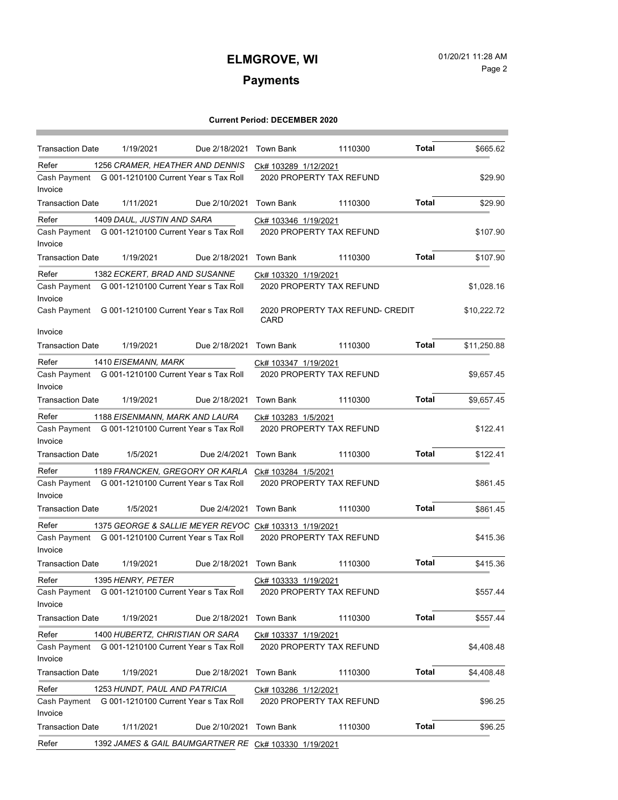i.

# **Payments**

| <b>Transaction Date</b>                                       | 1/19/2021                                                               | Due 2/18/2021 Town Bank |                                                       | 1110300                          | Total        | \$665.62    |
|---------------------------------------------------------------|-------------------------------------------------------------------------|-------------------------|-------------------------------------------------------|----------------------------------|--------------|-------------|
| Refer                                                         | 1256 CRAMER, HEATHER AND DENNIS                                         |                         | Ck# 103289 1/12/2021                                  |                                  |              |             |
| Cash Payment G 001-1210100 Current Year s Tax Roll<br>Invoice |                                                                         |                         | 2020 PROPERTY TAX REFUND                              |                                  |              | \$29.90     |
| <b>Transaction Date</b>                                       | 1/11/2021                                                               | Due 2/10/2021           | Town Bank                                             | 1110300                          | Total        | \$29.90     |
| Refer                                                         | 1409 DAUL, JUSTIN AND SARA                                              |                         | Ck# 103346 1/19/2021                                  |                                  |              |             |
| Cash Payment G 001-1210100 Current Year s Tax Roll<br>Invoice |                                                                         |                         | 2020 PROPERTY TAX REFUND                              |                                  |              | \$107.90    |
| <b>Transaction Date</b>                                       | 1/19/2021                                                               | Due 2/18/2021           | Town Bank                                             | 1110300                          | Total        | \$107.90    |
| Refer                                                         | 1382 ECKERT, BRAD AND SUSANNE                                           |                         | Ck# 103320 1/19/2021                                  |                                  |              |             |
| Cash Payment G 001-1210100 Current Year s Tax Roll            |                                                                         |                         | 2020 PROPERTY TAX REFUND                              |                                  |              | \$1,028.16  |
| Invoice<br>Cash Payment G 001-1210100 Current Year s Tax Roll |                                                                         |                         | CARD                                                  | 2020 PROPERTY TAX REFUND- CREDIT |              | \$10,222.72 |
| Invoice                                                       |                                                                         |                         |                                                       |                                  |              |             |
| <b>Transaction Date</b>                                       | 1/19/2021                                                               | Due 2/18/2021 Town Bank |                                                       | 1110300                          | Total        | \$11,250.88 |
| Refer                                                         | 1410 EISEMANN, MARK                                                     |                         | Ck# 103347 1/19/2021                                  |                                  |              |             |
| Cash Payment G 001-1210100 Current Year s Tax Roll<br>Invoice |                                                                         |                         | 2020 PROPERTY TAX REFUND                              |                                  |              | \$9,657.45  |
| <b>Transaction Date</b>                                       | 1/19/2021                                                               | Due 2/18/2021 Town Bank |                                                       | 1110300                          | Total        | \$9,657.45  |
| Refer<br>Cash Payment                                         | 1188 EISENMANN, MARK AND LAURA<br>G 001-1210100 Current Year s Tax Roll |                         | Ck# 103283 1/5/2021<br>2020 PROPERTY TAX REFUND       |                                  |              | \$122.41    |
| Invoice                                                       |                                                                         |                         |                                                       |                                  |              |             |
| <b>Transaction Date</b>                                       | 1/5/2021                                                                | Due 2/4/2021            | Town Bank                                             | 1110300                          | Total        | \$122.41    |
| Refer                                                         | 1189 FRANCKEN, GREGORY OR KARLA                                         |                         | Ck# 103284 1/5/2021                                   |                                  |              |             |
| Cash Payment G 001-1210100 Current Year s Tax Roll<br>Invoice |                                                                         |                         | 2020 PROPERTY TAX REFUND                              |                                  |              | \$861.45    |
| <b>Transaction Date</b>                                       | 1/5/2021                                                                | Due 2/4/2021 Town Bank  |                                                       | 1110300                          | Total        | \$861.45    |
| Refer                                                         |                                                                         |                         | 1375 GEORGE & SALLIE MEYER REVOC Ck# 103313 1/19/2021 |                                  |              |             |
| Cash Payment G 001-1210100 Current Year s Tax Roll<br>Invoice |                                                                         |                         | 2020 PROPERTY TAX REFUND                              |                                  |              | \$415.36    |
| <b>Transaction Date</b>                                       | 1/19/2021                                                               | Due 2/18/2021           | Town Bank                                             | 1110300                          | Total        | \$415.36    |
| Refer                                                         | 1395 HENRY, PETER                                                       |                         | Ck# 103333 1/19/2021                                  |                                  |              |             |
| Cash Payment G 001-1210100 Current Year s Tax Roll<br>Invoice |                                                                         |                         | 2020 PROPERTY TAX REFUND                              |                                  |              | \$557.44    |
| <b>Transaction Date</b>                                       | 1/19/2021                                                               | Due 2/18/2021           | <b>Town Bank</b>                                      | 1110300                          | <b>Total</b> | \$557.44    |
| Refer                                                         | 1400 HUBERTZ, CHRISTIAN OR SARA                                         |                         | Ck# 103337 1/19/2021                                  |                                  |              |             |
| Cash Payment                                                  | G 001-1210100 Current Year s Tax Roll                                   |                         | 2020 PROPERTY TAX REFUND                              |                                  |              | \$4,408.48  |
| Invoice                                                       |                                                                         |                         |                                                       |                                  |              |             |
| <b>Transaction Date</b>                                       | 1/19/2021                                                               | Due 2/18/2021           | <b>Town Bank</b>                                      | 1110300                          | Total        | \$4,408.48  |
| Refer                                                         | 1253 HUNDT, PAUL AND PATRICIA                                           |                         | Ck# 103286 1/12/2021                                  |                                  |              |             |
| Cash Payment                                                  | G 001-1210100 Current Year s Tax Roll                                   |                         | 2020 PROPERTY TAX REFUND                              |                                  |              | \$96.25     |
| Invoice                                                       |                                                                         |                         |                                                       |                                  |              |             |
| <b>Transaction Date</b>                                       | 1/11/2021                                                               | Due 2/10/2021           | <b>Town Bank</b>                                      | 1110300                          | <b>Total</b> | \$96.25     |
| Refer                                                         |                                                                         |                         | 1392 JAMES & GAIL BAUMGARTNER RE Ck# 103330 1/19/2021 |                                  |              |             |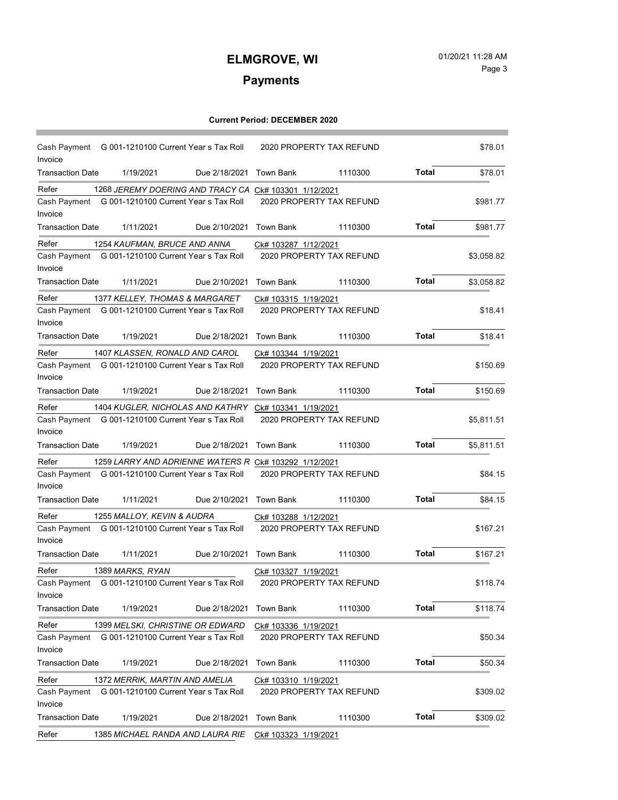## **ELMGROVE, WI** 01/20/21 11:28 AM Page 3

# **Payments**

| Cash Payment G 001-1210100 Current Year s Tax Roll<br>Invoice          |                                                       |                      | 2020 PROPERTY TAX REFUND |              | \$78.01    |
|------------------------------------------------------------------------|-------------------------------------------------------|----------------------|--------------------------|--------------|------------|
| <b>Transaction Date</b><br>1/19/2021                                   | Due 2/18/2021                                         | Town Bank            | 1110300                  | Total        | \$78.01    |
| Refer                                                                  | 1268 JEREMY DOERING AND TRACY CA CK# 103301 1/12/2021 |                      |                          |              |            |
| Cash Payment G 001-1210100 Current Year s Tax Roll<br>Invoice          |                                                       |                      | 2020 PROPERTY TAX REFUND |              | \$981.77   |
| 1/11/2021<br>Transaction Date                                          | Due 2/10/2021                                         | Town Bank            | 1110300                  | <b>Total</b> | \$981.77   |
| Refer<br>Cash Payment G 001-1210100 Current Year s Tax Roll<br>Invoice | 1254 KAUFMAN, BRUCE AND ANNA                          | Ck# 103287 1/12/2021 | 2020 PROPERTY TAX REFUND |              | \$3,058.82 |
| 1/11/2021<br>Transaction Date                                          | Due 2/10/2021                                         | Town Bank            | 1110300                  | Total        | \$3,058.82 |
| Refer                                                                  | 1377 KELLEY, THOMAS & MARGARET                        | Ck# 103315 1/19/2021 |                          |              |            |
| Cash Payment G 001-1210100 Current Year s Tax Roll                     |                                                       |                      | 2020 PROPERTY TAX REFUND |              | \$18.41    |
| Invoice                                                                |                                                       |                      |                          | Total        |            |
| Transaction Date<br>1/19/2021                                          | Due 2/18/2021                                         | Town Bank            | 1110300                  |              | \$18.41    |
| Refer                                                                  | 1407 KLASSEN, RONALD AND CAROL                        | Ck# 103344 1/19/2021 |                          |              |            |
| Cash Payment G 001-1210100 Current Year s Tax Roll<br>Invoice          |                                                       |                      | 2020 PROPERTY TAX REFUND |              | \$150.69   |
| 1/19/2021<br><b>Transaction Date</b>                                   | Due 2/18/2021                                         | Town Bank            | 1110300                  | <b>Total</b> | \$150.69   |
| Refer                                                                  | 1404 KUGLER, NICHOLAS AND KATHRY CK# 103341 1/19/2021 |                      |                          |              |            |
| Cash Payment G 001-1210100 Current Year s Tax Roll                     |                                                       |                      | 2020 PROPERTY TAX REFUND |              | \$5,811.51 |
| Invoice                                                                |                                                       |                      |                          |              |            |
| 1/19/2021<br>Transaction Date                                          | Due 2/18/2021                                         | Town Bank            | 1110300                  | Total        | \$5,811.51 |
| Refer                                                                  | 1259 LARRY AND ADRIENNE WATERS R Ck# 103292 1/12/2021 |                      |                          |              |            |
| Cash Payment G 001-1210100 Current Year s Tax Roll                     |                                                       |                      | 2020 PROPERTY TAX REFUND |              | \$84.15    |
| Invoice                                                                |                                                       |                      |                          | <b>Total</b> |            |
| 1/11/2021<br>Transaction Date                                          | Due 2/10/2021                                         | Town Bank            | 1110300                  |              | \$84.15    |
| Refer<br>1255 MALLOY, KEVIN & AUDRA                                    |                                                       | Ck# 103288 1/12/2021 |                          |              |            |
| Cash Payment G 001-1210100 Current Year s Tax Roll<br>Invoice          |                                                       |                      | 2020 PROPERTY TAX REFUND |              | \$167.21   |
| 1/11/2021<br>Transaction Date                                          | Due 2/10/2021 Town Bank                               |                      | 1110300                  | Total        | \$167.21   |
| Refer<br>1389 MARKS, RYAN                                              |                                                       | Ck# 103327 1/19/2021 |                          |              |            |
| Cash Payment G 001-1210100 Current Year s Tax Roll                     |                                                       |                      | 2020 PROPERTY TAX REFUND |              | \$118.74   |
| Invoice                                                                |                                                       |                      |                          |              |            |
| Transaction Date<br>1/19/2021                                          | Due 2/18/2021                                         | <b>Town Bank</b>     | 1110300                  | Total        | \$118.74   |
| Refer                                                                  | 1399 MELSKI, CHRISTINE OR EDWARD                      | Ck# 103336 1/19/2021 |                          |              |            |
| Cash Payment                                                           | G 001-1210100 Current Year s Tax Roll                 |                      | 2020 PROPERTY TAX REFUND |              | \$50.34    |
| Invoice                                                                |                                                       |                      |                          |              |            |
| 1/19/2021<br><b>Transaction Date</b>                                   | Due 2/18/2021                                         | Town Bank            | 1110300                  | <b>Total</b> | \$50.34    |
| Refer                                                                  | 1372 MERRIK, MARTIN AND AMELIA                        | Ck# 103310 1/19/2021 |                          |              |            |
| Cash Payment                                                           | G 001-1210100 Current Year s Tax Roll                 |                      | 2020 PROPERTY TAX REFUND |              | \$309.02   |
| Invoice                                                                |                                                       |                      |                          |              |            |
| 1/19/2021<br><b>Transaction Date</b>                                   | Due 2/18/2021                                         | <b>Town Bank</b>     | 1110300                  | <b>Total</b> | \$309.02   |
| Refer                                                                  | 1385 MICHAEL RANDA AND LAURA RIE                      | Ck# 103323 1/19/2021 |                          |              |            |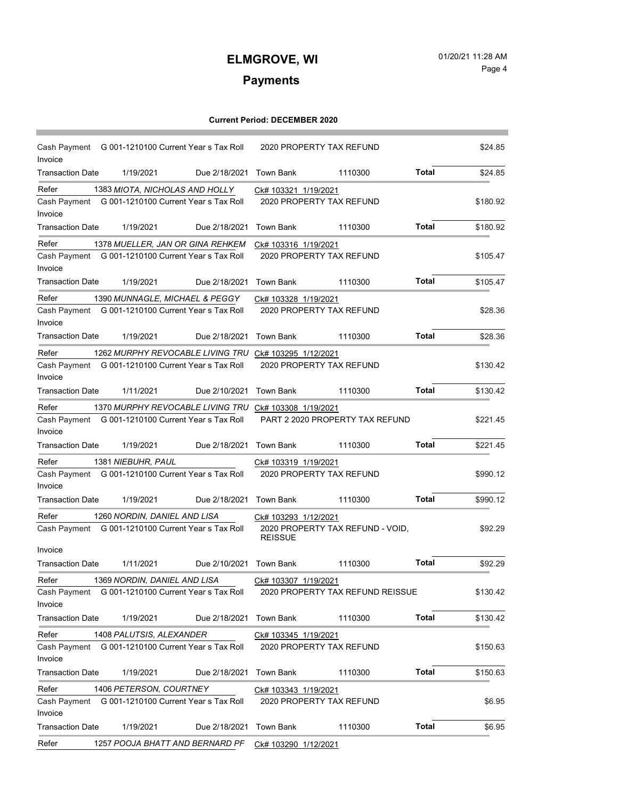## **ELMGROVE, WI** 01/20/21 11:28 AM Page 4

i.

# **Payments**

| Invoice                 | Cash Payment G 001-1210100 Current Year s Tax Roll                |                         |                      | 2020 PROPERTY TAX REFUND         |              | \$24.85  |
|-------------------------|-------------------------------------------------------------------|-------------------------|----------------------|----------------------------------|--------------|----------|
| <b>Transaction Date</b> | 1/19/2021                                                         | Due 2/18/2021           | Town Bank            | 1110300                          | Total        | \$24.85  |
| Refer                   | 1383 MIOTA, NICHOLAS AND HOLLY                                    |                         | Ck# 103321 1/19/2021 |                                  |              |          |
| Invoice                 | Cash Payment G 001-1210100 Current Year s Tax Roll                |                         |                      | 2020 PROPERTY TAX REFUND         |              | \$180.92 |
| Transaction Date        | 1/19/2021                                                         | Due 2/18/2021           | Town Bank            | 1110300                          | Total        | \$180.92 |
| Refer                   | 1378 MUELLER, JAN OR GINA REHKEM                                  |                         | Ck# 103316 1/19/2021 |                                  |              |          |
| Invoice                 | Cash Payment G 001-1210100 Current Year s Tax Roll                |                         |                      | 2020 PROPERTY TAX REFUND         |              | \$105.47 |
| Transaction Date        | 1/19/2021                                                         | Due 2/18/2021           | Town Bank            | 1110300                          | Total        | \$105.47 |
| Refer                   | 1390 MUNNAGLE, MICHAEL & PEGGY                                    |                         | Ck# 103328 1/19/2021 |                                  |              |          |
|                         | Cash Payment G 001-1210100 Current Year s Tax Roll                |                         |                      | 2020 PROPERTY TAX REFUND         |              | \$28.36  |
| Invoice                 |                                                                   |                         |                      |                                  |              |          |
| Transaction Date        | 1/19/2021                                                         | Due 2/18/2021           | <b>Town Bank</b>     | 1110300                          | Total        | \$28.36  |
| Refer                   | 1262 MURPHY REVOCABLE LIVING TRU CK# 103295 1/12/2021             |                         |                      |                                  |              |          |
|                         | Cash Payment G 001-1210100 Current Year s Tax Roll                |                         |                      | 2020 PROPERTY TAX REFUND         |              | \$130.42 |
| Invoice                 |                                                                   |                         |                      |                                  |              |          |
| <b>Transaction Date</b> | 1/11/2021                                                         | Due 2/10/2021           | Town Bank            | 1110300                          | <b>Total</b> | \$130.42 |
| Refer                   | 1370 MURPHY REVOCABLE LIVING TRU CK# 103308 1/19/2021             |                         |                      |                                  |              |          |
| Invoice                 | Cash Payment G 001-1210100 Current Year s Tax Roll                |                         |                      | PART 2 2020 PROPERTY TAX REFUND  |              | \$221.45 |
| Transaction Date        | 1/19/2021                                                         | Due 2/18/2021 Town Bank |                      | 1110300                          | Total        | \$221.45 |
| Refer                   | 1381 NIEBUHR, PAUL                                                |                         | Ck# 103319 1/19/2021 |                                  |              |          |
|                         | Cash Payment G 001-1210100 Current Year s Tax Roll                |                         |                      | 2020 PROPERTY TAX REFUND         |              | \$990.12 |
| Invoice                 |                                                                   |                         |                      |                                  |              |          |
| Transaction Date        | 1/19/2021                                                         | Due 2/18/2021           | Town Bank            | 1110300                          | <b>Total</b> | \$990.12 |
| Refer                   | 1260 NORDIN, DANIEL AND LISA                                      |                         | Ck# 103293 1/12/2021 |                                  |              |          |
|                         | Cash Payment G 001-1210100 Current Year s Tax Roll                |                         | <b>REISSUE</b>       | 2020 PROPERTY TAX REFUND - VOID, |              | \$92.29  |
| Invoice                 |                                                                   |                         |                      |                                  |              |          |
| <b>Transaction Date</b> | 1/11/2021                                                         | Due 2/10/2021           | Town Bank            | 1110300                          | <b>Total</b> | \$92.29  |
| Refer                   | 1369 NORDIN, DANIEL AND LISA                                      |                         | Ck# 103307 1/19/2021 |                                  |              |          |
| Invoice                 | Cash Payment G 001-1210100 Current Year s Tax Roll                |                         |                      | 2020 PROPERTY TAX REFUND REISSUE |              | \$130.42 |
| <b>Transaction Date</b> | 1/19/2021                                                         | Due 2/18/2021           | <b>Town Bank</b>     | 1110300                          | <b>Total</b> | \$130.42 |
| Refer                   |                                                                   |                         |                      |                                  |              |          |
| Cash Payment            | 1408 PALUTSIS, ALEXANDER<br>G 001-1210100 Current Year s Tax Roll |                         | Ck# 103345 1/19/2021 | 2020 PROPERTY TAX REFUND         |              | \$150.63 |
| Invoice                 |                                                                   |                         |                      |                                  |              |          |
| Transaction Date        | 1/19/2021                                                         | Due 2/18/2021           | <b>Town Bank</b>     | 1110300                          | Total        | \$150.63 |
| Refer                   | 1406 PETERSON, COURTNEY                                           |                         | Ck# 103343 1/19/2021 |                                  |              |          |
| Cash Payment            | G 001-1210100 Current Year s Tax Roll                             |                         |                      | 2020 PROPERTY TAX REFUND         |              | \$6.95   |
| Invoice                 |                                                                   |                         |                      |                                  |              |          |
| <b>Transaction Date</b> | 1/19/2021                                                         | Due 2/18/2021           | <b>Town Bank</b>     | 1110300                          | <b>Total</b> | \$6.95   |
| Refer                   | 1257 POOJA BHATT AND BERNARD PF                                   |                         | Ck# 103290 1/12/2021 |                                  |              |          |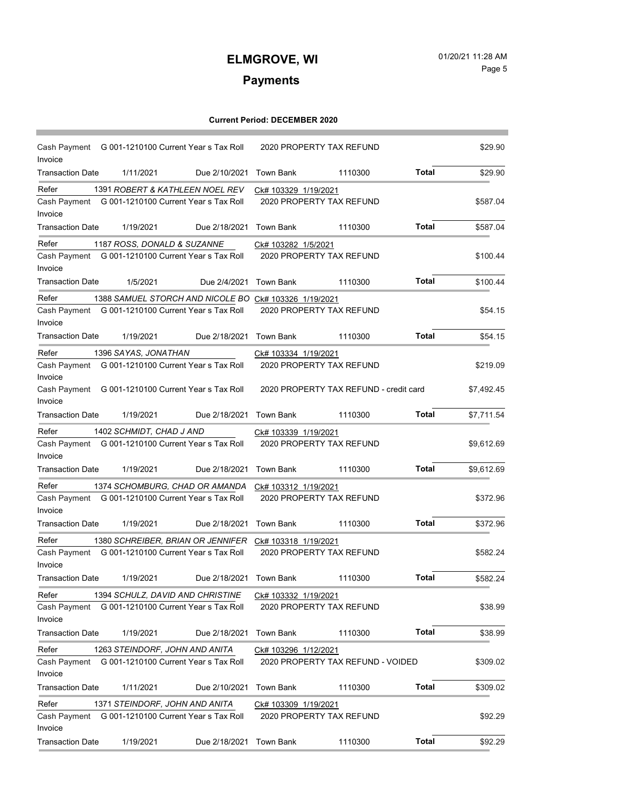## **ELMGROVE, WI** 01/20/21 11:28 AM Page 5

# **Payments**

| Invoice                 | Cash Payment G 001-1210100 Current Year s Tax Roll    |                         | 2020 PROPERTY TAX REFUND |                                        |              | \$29.90    |
|-------------------------|-------------------------------------------------------|-------------------------|--------------------------|----------------------------------------|--------------|------------|
| Transaction Date        | 1/11/2021                                             | Due 2/10/2021           | Town Bank                | 1110300                                | Total        | \$29.90    |
| Refer                   | 1391 ROBERT & KATHLEEN NOEL REV                       |                         | Ck# 103329 1/19/2021     |                                        |              |            |
| Cash Payment<br>Invoice | G 001-1210100 Current Year s Tax Roll                 |                         |                          | 2020 PROPERTY TAX REFUND               |              | \$587.04   |
| Transaction Date        | 1/19/2021                                             | Due 2/18/2021           | Town Bank                | 1110300                                | Total        | \$587.04   |
| Refer                   | 1187 ROSS, DONALD & SUZANNE                           |                         | Ck# 103282 1/5/2021      |                                        |              |            |
| Cash Payment<br>Invoice | G 001-1210100 Current Year s Tax Roll                 |                         |                          | 2020 PROPERTY TAX REFUND               |              | \$100.44   |
| Transaction Date        | 1/5/2021                                              | Due 2/4/2021            | Town Bank                | 1110300                                | Total        | \$100.44   |
| Refer                   | 1388 SAMUEL STORCH AND NICOLE BO Ck# 103326 1/19/2021 |                         |                          |                                        |              |            |
|                         | Cash Payment G 001-1210100 Current Year s Tax Roll    |                         | 2020 PROPERTY TAX REFUND |                                        |              | \$54.15    |
| Invoice                 |                                                       |                         |                          |                                        |              |            |
| <b>Transaction Date</b> | 1/19/2021                                             | Due 2/18/2021           | Town Bank                | 1110300                                | Total        | \$54.15    |
| Refer                   | 1396 SAYAS, JONATHAN                                  |                         | Ck# 103334 1/19/2021     |                                        |              |            |
| Cash Payment            | G 001-1210100 Current Year s Tax Roll                 |                         |                          | 2020 PROPERTY TAX REFUND               |              | \$219.09   |
| Invoice                 |                                                       |                         |                          |                                        |              |            |
| Cash Payment            | G 001-1210100 Current Year s Tax Roll                 |                         |                          | 2020 PROPERTY TAX REFUND - credit card |              | \$7,492.45 |
| Invoice                 |                                                       |                         |                          |                                        |              |            |
| <b>Transaction Date</b> | 1/19/2021                                             | Due 2/18/2021 Town Bank |                          | 1110300                                | Total        | \$7,711.54 |
| Refer                   | 1402 SCHMIDT, CHAD J AND                              |                         | Ck# 103339 1/19/2021     |                                        |              |            |
| Cash Payment            | G 001-1210100 Current Year s Tax Roll                 |                         |                          | 2020 PROPERTY TAX REFUND               |              | \$9,612.69 |
| Invoice                 |                                                       |                         |                          |                                        |              |            |
| <b>Transaction Date</b> | 1/19/2021                                             | Due 2/18/2021           | Town Bank                | 1110300                                | Total        | \$9,612.69 |
| Refer                   | 1374 SCHOMBURG, CHAD OR AMANDA                        |                         | Ck# 103312 1/19/2021     |                                        |              |            |
|                         | Cash Payment G 001-1210100 Current Year s Tax Roll    |                         |                          | 2020 PROPERTY TAX REFUND               |              | \$372.96   |
| Invoice                 |                                                       |                         |                          |                                        | <b>Total</b> |            |
| <b>Transaction Date</b> | 1/19/2021                                             | Due 2/18/2021           | Town Bank                | 1110300                                |              | \$372.96   |
| Refer                   | 1380 SCHREIBER, BRIAN OR JENNIFER                     |                         | Ck# 103318 1/19/2021     |                                        |              |            |
| Cash Payment<br>Invoice | G 001-1210100 Current Year s Tax Roll                 |                         | 2020 PROPERTY TAX REFUND |                                        |              | \$582.24   |
| <b>Transaction Date</b> | 1/19/2021                                             | Due 2/18/2021 Town Bank |                          | 1110300                                | <b>Total</b> | \$582.24   |
| Refer                   | 1394 SCHULZ, DAVID AND CHRISTINE                      |                         | Ck# 103332 1/19/2021     |                                        |              |            |
| Cash Payment<br>Invoice | G 001-1210100 Current Year s Tax Roll                 |                         |                          | 2020 PROPERTY TAX REFUND               |              | \$38.99    |
| Transaction Date        | 1/19/2021                                             | Due 2/18/2021           | Town Bank                | 1110300                                | <b>Total</b> | \$38.99    |
| Refer                   | 1263 STEINDORF, JOHN AND ANITA                        |                         | Ck# 103296 1/12/2021     |                                        |              |            |
| Cash Payment<br>Invoice | G 001-1210100 Current Year s Tax Roll                 |                         |                          | 2020 PROPERTY TAX REFUND - VOIDED      |              | \$309.02   |
| Transaction Date        | 1/11/2021                                             | Due 2/10/2021           | Town Bank                | 1110300                                | <b>Total</b> | \$309.02   |
| Refer                   | 1371 STEINDORF, JOHN AND ANITA                        |                         | Ck# 103309 1/19/2021     |                                        |              |            |
| Cash Payment<br>Invoice | G 001-1210100 Current Year s Tax Roll                 |                         |                          | 2020 PROPERTY TAX REFUND               |              | \$92.29    |
| <b>Transaction Date</b> | 1/19/2021                                             | Due 2/18/2021           | <b>Town Bank</b>         | 1110300                                | <b>Total</b> | \$92.29    |